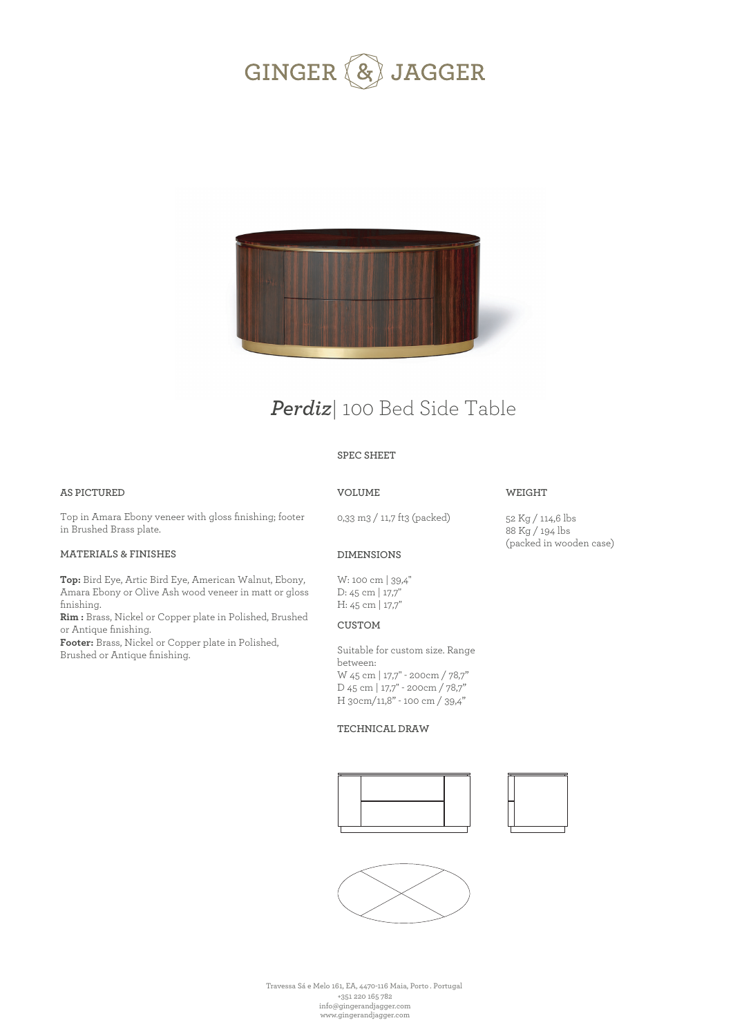



# *Perdiz*| 100 Bed Side Table

### **SPEC SHEET**

### **AS PICTURED**

### **VOLUME**

### **WEIGHT**

Top in Amara Ebony veneer with gloss finishing; footer in Brushed Brass plate.

### **MATERIALS & FINISHES**

**Top:** Bird Eye, Artic Bird Eye, American Walnut, Ebony, Amara Ebony or Olive Ash wood veneer in matt or gloss finishing.

**Rim :** Brass, Nickel or Copper plate in Polished, Brushed or Antique finishing.

**Footer:** Brass, Nickel or Copper plate in Polished, Brushed or Antique finishing.

0,33 m3 / 11,7 ft3 (packed)

52 Kg / 114,6 lbs 88 Kg / 194 lbs (packed in wooden case)

## **DIMENSIONS**

W: 100 cm | 39,4'' D: 45 cm | 17,7'' H: 45 cm | 17,7''

### **CUSTOM**

Suitable for custom size. Range between: W 45 cm | 17,7'' - 200cm / 78,7" D 45 cm | 17,7'' - 200cm / 78,7" H 30cm/11,8" - 100 cm / 39,4"

#### **TECHNICAL DRAW**